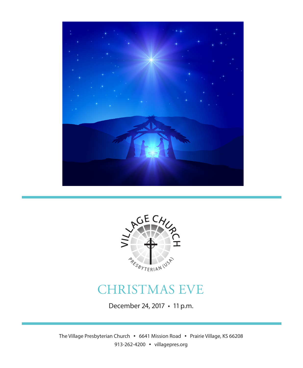



# CHRISTMAS EVE

December 24, 2017 • 11 p.m.

The Village Presbyterian Church • 6641 Mission Road • Prairie Village, KS 66208 913-262-4200 • villagepres.org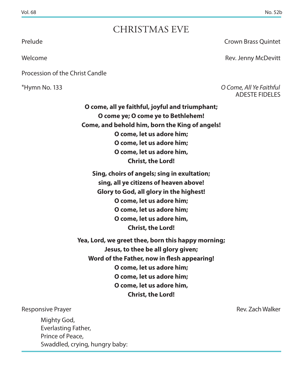## CHRISTMAS EVE

Procession of the Christ Candle

Prelude Crown Brass Quintet

Welcome **Rev. Jenny McDevitt** 

\*Hymn No. 133 *O Come, All Ye Faithful* ADESTE FIDELES

> **O come, all ye faithful, joyful and triumphant; O come ye; O come ye to Bethlehem! Come, and behold him, born the King of angels! O come, let us adore him; O come, let us adore him; O come, let us adore him, Christ, the Lord!**

**Sing, choirs of angels; sing in exultation; sing, all ye citizens of heaven above! Glory to God, all glory in the highest! O come, let us adore him; O come, let us adore him; O come, let us adore him, Christ, the Lord!**

**Yea, Lord, we greet thee, born this happy morning; Jesus, to thee be all glory given; Word of the Father, now in flesh appearing! O come, let us adore him; O come, let us adore him; O come, let us adore him, Christ, the Lord!**

#### Responsive Prayer **Responsive Prayer** Rev. Zach Walker

Mighty God, Everlasting Father, Prince of Peace, Swaddled, crying, hungry baby: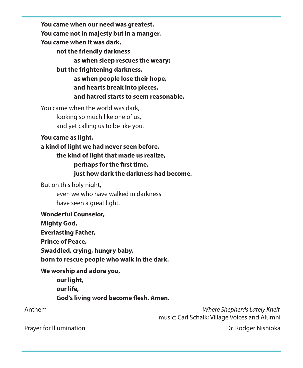**You came when our need was greatest. You came not in majesty but in a manger. You came when it was dark, not the friendly darkness as when sleep rescues the weary; but the frightening darkness, as when people lose their hope, and hearts break into pieces, and hatred starts to seem reasonable.**

You came when the world was dark, looking so much like one of us, and yet calling us to be like you.

#### **You came as light,**

**a kind of light we had never seen before, the kind of light that made us realize, perhaps for the first time, just how dark the darkness had become.**

But on this holy night, even we who have walked in darkness have seen a great light.

**Wonderful Counselor, Mighty God, Everlasting Father, Prince of Peace, Swaddled, crying, hungry baby, born to rescue people who walk in the dark.**

**We worship and adore you, our light, our life, God's living word become flesh. Amen.**

 Anthem *Where Shepherds Lately Knelt* music: Carl Schalk; Village Voices and Alumni

Prayer for Illumination **Dr. Rodger Nishioka**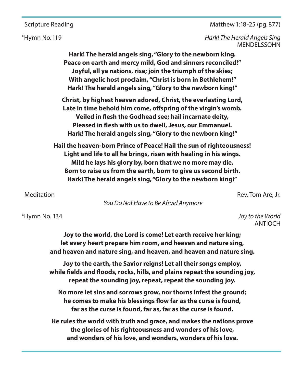Scripture Reading Matthew 1:18-25 (pg. 877)

\*Hymn No. 119 *Hark! The Herald Angels Sing*  MENDELSSOHN

> **Hark! The herald angels sing, "Glory to the newborn king. Peace on earth and mercy mild, God and sinners reconciled!" Joyful, all ye nations, rise; join the triumph of the skies; With angelic host proclaim, "Christ is born in Bethlehem!" Hark! The herald angels sing, "Glory to the newborn king!"**

**Christ, by highest heaven adored, Christ, the everlasting Lord, Late in time behold him come, offspring of the virgin's womb. Veiled in flesh the Godhead see; hail incarnate deity, Pleased in flesh with us to dwell, Jesus, our Emmanuel. Hark! The herald angels sing, "Glory to the newborn king!"**

**Hail the heaven-born Prince of Peace! Hail the sun of righteousness! Light and life to all he brings, risen with healing in his wings. Mild he lays his glory by, born that we no more may die, Born to raise us from the earth, born to give us second birth. Hark! The herald angels sing, "Glory to the newborn king!"**

Meditation **Rev. Tom Are, Jr. Meditation** Rev. Tom Are, Jr. **Rev. Tom Are, Jr. Rev. Tom Are, Jr. Rev. Tom Are, Jr. Rev. Tom Are, Jr. Rev. Tom Are, Jr. Rev. Tom Are, Jr. Rev. Tom Are, Jr. Rev. Tom Are, Jr.**

 *You Do Not Have to Be Afraid Anymore*

\*Hymn No. 134 *Joy to the World*  ANTIOCH

> **Joy to the world, the Lord is come! Let earth receive her king; let every heart prepare him room, and heaven and nature sing, and heaven and nature sing, and heaven, and heaven and nature sing.**

> **Joy to the earth, the Savior reigns! Let all their songs employ, while fields and floods, rocks, hills, and plains repeat the sounding joy, repeat the sounding joy, repeat, repeat the sounding joy.**

**No more let sins and sorrows grow, nor thorns infest the ground; he comes to make his blessings flow far as the curse is found, far as the curse is found, far as, far as the curse is found.**

**He rules the world with truth and grace, and makes the nations prove the glories of his righteousness and wonders of his love, and wonders of his love, and wonders, wonders of his love.**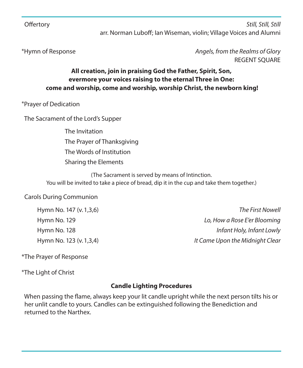Offertory *Still, Still, Still* arr. Norman Luboff; Ian Wiseman, violin; Village Voices and Alumni

#### \*Hymn of Response *Angels, from the Realms of Glory* REGENT SQUARE

#### **All creation, join in praising God the Father, Spirit, Son, evermore your voices raising to the eternal Three in One: come and worship, come and worship, worship Christ, the newborn king!**

\*Prayer of Dedication

The Sacrament of the Lord's Supper

The Invitation The Prayer of Thanksgiving The Words of Institution Sharing the Elements

(The Sacrament is served by means of Intinction. You will be invited to take a piece of bread, dip it in the cup and take them together.)

#### Carols During Communion

| Hymn No. 147 (v. 1,3,6) | The First Nowell                |
|-------------------------|---------------------------------|
| Hymn No. 129            | Lo, How a Rose E'er Blooming    |
| Hymn No. 128            | Infant Holy, Infant Lowly       |
| Hymn No. 123 (v. 1,3,4) | It Came Upon the Midnight Clear |

\*The Prayer of Response

\*The Light of Christ

#### **Candle Lighting Procedures**

 When passing the flame, always keep your lit candle upright while the next person tilts his or her unlit candle to yours. Candles can be extinguished following the Benediction and returned to the Narthex.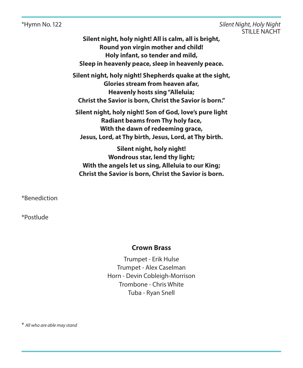\*Hymn No. 122 *Silent Night, Holy Night* STILLE NACHT

> **Silent night, holy night! All is calm, all is bright, Round yon virgin mother and child! Holy infant, so tender and mild, Sleep in heavenly peace, sleep in heavenly peace.**

**Silent night, holy night! Shepherds quake at the sight, Glories stream from heaven afar, Heavenly hosts sing "Alleluia; Christ the Savior is born, Christ the Savior is born."**

**Silent night, holy night! Son of God, love's pure light Radiant beams from Thy holy face, With the dawn of redeeming grace, Jesus, Lord, at Thy birth, Jesus, Lord, at Thy birth.**

**Silent night, holy night! Wondrous star, lend thy light; With the angels let us sing, Alleluia to our King; Christ the Savior is born, Christ the Savior is born.**

\*Benediction

\*Postlude

#### **Crown Brass**

Trumpet - Erik Hulse Trumpet - Alex Caselman Horn - Devin Cobleigh-Morrison Trombone - Chris White Tuba - Ryan Snell

\* *All who are able may stand*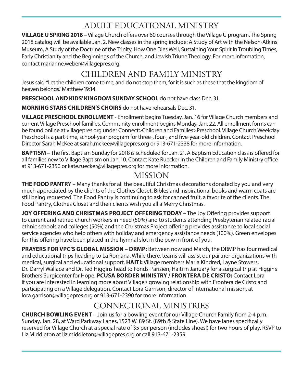## ADULT EDUCATIONAL MINISTRY

**VILLAGE U SPRING 2018** – Village Church offers over 60 courses through the Village U program. The Spring 2018 catalog will be available Jan. 2. New classes in the spring include: A Study of Art with the Nelson-Atkins Museum, A Study of the Doctrine of the Trinity, How One Dies Well, Sustaining Your Spirit in Troubling Times, Early Christianity and the Beginnings of the Church, and Jewish Triune Theology. For more information, contact marianne.weber@villagepres.org.

### CHILDREN AND FAMILY MINISTRY

Jesus said, "Let the children come to me, and do not stop them; for it is such as these that the kingdom of heaven belongs." Matthew 19:14.

**PRESCHOOL AND KIDS' KINGDOM SUNDAY SCHOOL** do not have class Dec. 31.

**MORNING STARS CHILDREN'S CHOIRS** do not have rehearsals Dec. 31.

**VILLAGE PRESCHOOL ENROLLMENT** - Enrollment begins Tuesday, Jan. 16 for Village Church members and current Village Preschool families. Community enrollment begins Monday, Jan. 22. All enrollment forms can be found online at villagepres.org under Connect>Children and Families>Preschool. Village Church Weekday Preschool is a part-time, school-year program for three-, four-, and five-year-old children. Contact Preschool Director Sarah McKee at sarah.mckee@villagepres.org or 913-671-2338 for more information.

**BAPTISM** – The first Baptism Sunday for 2018 is scheduled for Jan. 21. A Baptism Education class is offered for all families new to Village Baptism on Jan. 10. Contact Kate Ruecker in the Children and Family Ministry office at 913-671-2350 or kate.ruecker@villagepres.org for more information.

### MISSION

**THE FOOD PANTRY** – Many thanks for all the beautiful Christmas decorations donated by you and very much appreciated by the clients of the Clothes Closet. Bibles and inspirational books and warm coats are still being requested. The Food Pantry is continuing to ask for canned fruit, a favorite of the clients. The Food Pantry, Clothes Closet and their clients wish you all a Merry Christmas.

**JOY OFFERING AND CHRISTMAS PROJECT OFFERING TODAY** – The Joy Offering provides support to current and retired church workers in need (50%) and to students attending Presbyterian related racial ethnic schools and colleges (50%) and the Christmas Project offering provides assistance to local social service agencies who help others with holiday and emergency assistance needs (100%). Green envelopes for this offering have been placed in the hymnal slot in the pew in front of you.

**PRAYERS FOR VPC'S GLOBAL MISSION** – **DRMP:** Between now and March, the DRMP has four medical and educational trips heading to La Romana. While there, teams will assist our partner organizations with medical, surgical and educational support. **HAITI:** Village members Maria Kindred, Layne Stowers, Dr. Darryl Wallace and Dr. Ted Higgins head to Fonds-Parisien, Haiti in January for a surgical trip at Higgins Brothers Surgicenter for Hope. **PCUSA BORDER MINISTRY / FRONTERA DE CRISTO:** Contact Lora if you are interested in learning more about Village's growing relationship with Frontera de Cristo and participating on a Village delegation. Contact Lora Garrison, director of international mission, at lora.garrison@villagepres.org or 913-671-2390 for more information.

## CONNECTIONAL MINISTRIES

**CHURCH BOWLING EVENT** – Join us for a bowling event for our Village Church Family from 2-4 p.m. Sunday, Jan. 28, at Ward Parkway Lanes, 1523 W. 89 St. (89th & State Line). We have lanes specifically reserved for Village Church at a special rate of \$5 per person (includes shoes!) for two hours of play. RSVP to Liz Middleton at liz.middleton@villagepres.org or call 913-671-2359.